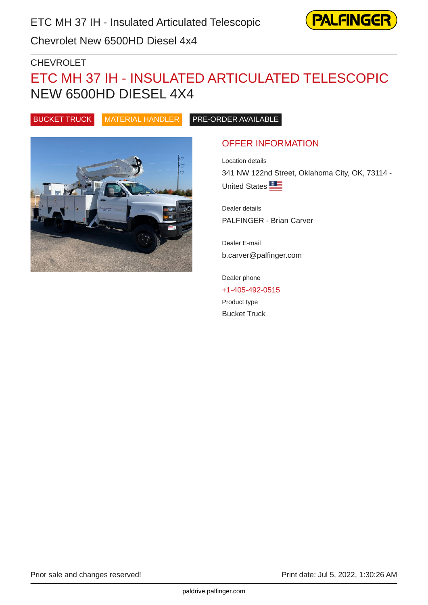

Chevrolet New 6500HD Diesel 4x4

#### CHEVROLET

# ETC MH 37 IH - INSULATED ARTICULATED TELESCOPIC NEW 6500HD DIESEL 4X4

BUCKET TRUCK MATERIAL HANDLER PRE-ORDER AVAILABLE



## OFFER INFORMATION

Location details 341 NW 122nd Street, Oklahoma City, OK, 73114 - United States

Dealer details PALFINGER - Brian Carver

Dealer E-mail b.carver@palfinger.com

Dealer phone [+1-405-492-0515](tel:+1-405-492-0515) Product type Bucket Truck